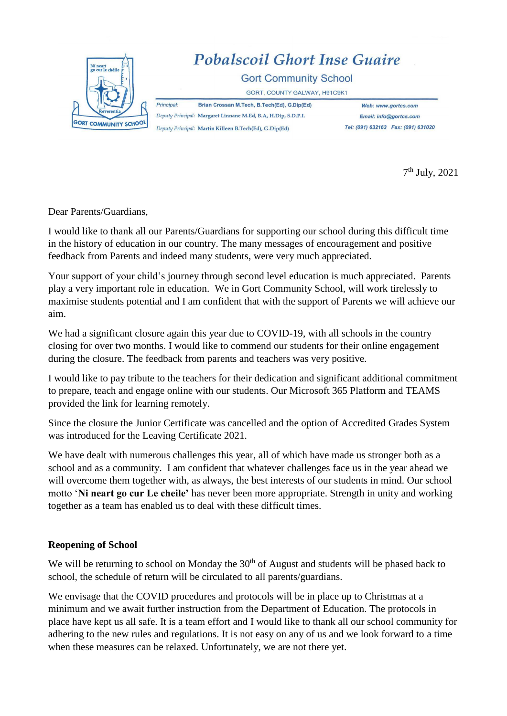

7 th July, 2021

Dear Parents/Guardians,

I would like to thank all our Parents/Guardians for supporting our school during this difficult time in the history of education in our country. The many messages of encouragement and positive feedback from Parents and indeed many students, were very much appreciated.

Your support of your child's journey through second level education is much appreciated. Parents play a very important role in education. We in Gort Community School, will work tirelessly to maximise students potential and I am confident that with the support of Parents we will achieve our aim.

We had a significant closure again this year due to COVID-19, with all schools in the country closing for over two months. I would like to commend our students for their online engagement during the closure. The feedback from parents and teachers was very positive.

I would like to pay tribute to the teachers for their dedication and significant additional commitment to prepare, teach and engage online with our students. Our Microsoft 365 Platform and TEAMS provided the link for learning remotely.

Since the closure the Junior Certificate was cancelled and the option of Accredited Grades System was introduced for the Leaving Certificate 2021.

We have dealt with numerous challenges this year, all of which have made us stronger both as a school and as a community. I am confident that whatever challenges face us in the year ahead we will overcome them together with, as always, the best interests of our students in mind. Our school motto '**Ni neart go cur Le cheile'** has never been more appropriate. Strength in unity and working together as a team has enabled us to deal with these difficult times.

#### **Reopening of School**

We will be returning to school on Monday the  $30<sup>th</sup>$  of August and students will be phased back to school, the schedule of return will be circulated to all parents/guardians.

We envisage that the COVID procedures and protocols will be in place up to Christmas at a minimum and we await further instruction from the Department of Education. The protocols in place have kept us all safe. It is a team effort and I would like to thank all our school community for adhering to the new rules and regulations. It is not easy on any of us and we look forward to a time when these measures can be relaxed. Unfortunately, we are not there yet.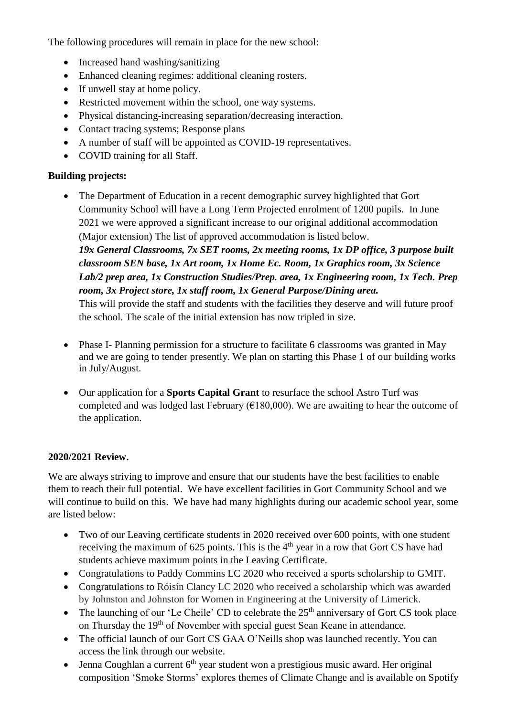The following procedures will remain in place for the new school:

- Increased hand washing/sanitizing
- Enhanced cleaning regimes: additional cleaning rosters.
- If unwell stay at home policy.
- Restricted movement within the school, one way systems.
- Physical distancing-increasing separation/decreasing interaction.
- Contact tracing systems; Response plans
- A number of staff will be appointed as COVID-19 representatives.
- COVID training for all Staff.

## **Building projects:**

- The Department of Education in a recent demographic survey highlighted that Gort Community School will have a Long Term Projected enrolment of 1200 pupils. In June 2021 we were approved a significant increase to our original additional accommodation (Major extension) The list of approved accommodation is listed below. *19x General Classrooms, 7x SET rooms, 2x meeting rooms, 1x DP office, 3 purpose built classroom SEN base, 1x Art room, 1x Home Ec. Room, 1x Graphics room, 3x Science Lab/2 prep area, 1x Construction Studies/Prep. area, 1x Engineering room, 1x Tech. Prep room, 3x Project store, 1x staff room, 1x General Purpose/Dining area.*  This will provide the staff and students with the facilities they deserve and will future proof the school. The scale of the initial extension has now tripled in size.
- Phase I- Planning permission for a structure to facilitate 6 classrooms was granted in May and we are going to tender presently. We plan on starting this Phase 1 of our building works in July/August.
- Our application for a **Sports Capital Grant** to resurface the school Astro Turf was completed and was lodged last February ( $\epsilon$ 180,000). We are awaiting to hear the outcome of the application.

# **2020/2021 Review.**

We are always striving to improve and ensure that our students have the best facilities to enable them to reach their full potential. We have excellent facilities in Gort Community School and we will continue to build on this. We have had many highlights during our academic school year, some are listed below:

- Two of our Leaving certificate students in 2020 received over 600 points, with one student receiving the maximum of 625 points. This is the 4<sup>th</sup> year in a row that Gort CS have had students achieve maximum points in the Leaving Certificate.
- Congratulations to Paddy Commins LC 2020 who received a sports scholarship to GMIT.
- Congratulations to Róisín Clancy LC 2020 who received a scholarship which was awarded by Johnston and Johnston for Women in Engineering at the University of Limerick.
- The launching of our 'Le Cheile' CD to celebrate the  $25<sup>th</sup>$  anniversary of Gort CS took place on Thursday the 19<sup>th</sup> of November with special guest Sean Keane in attendance.
- The official launch of our Gort CS GAA O'Neills shop was launched recently. You can access the link through our website.
- Jenna Coughlan a current  $6<sup>th</sup>$  year student won a prestigious music award. Her original composition 'Smoke Storms' explores themes of Climate Change and is available on Spotify